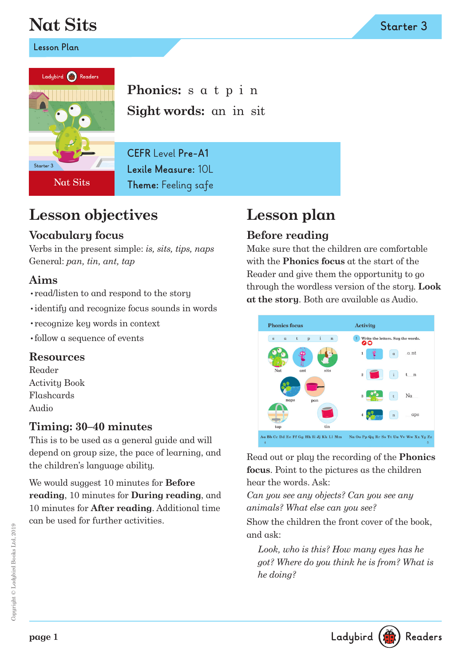# **Nat Sits**

**Lesson Plan**



**Phonics:** s a t p i n **Sight words:** an in sit

**CEFR** Level **Pre-A1 Lexile Measure:** 10L **Theme:** Feeling safe

## **Lesson objectives**

### **Vocabulary focus**

Verbs in the present simple: *is, sits, tips, naps* General: *pan, tin, ant, tap*

#### **Aims**

- •read/listen to and respond to the story
- •identify and recognize focus sounds in words
- •recognize key words in context
- •follow a sequence of events

#### **Resources**

Reader Activity Book Flashcards Audio

### **Timing: 30–40 minutes**

This is to be used as a general guide and will depend on group size, the pace of learning, and the children's language ability.

We would suggest 10 minutes for **Before reading**, 10 minutes for **During reading**, and 10 minutes for **After reading**. Additional time can be used for further activities.

## **Lesson plan**

## **Before reading**

Make sure that the children are comfortable with the **Phonics focus** at the start of the Reader and give them the opportunity to go through the wordless version of the story. **Look at the story**. Both are available as Audio.



Read out or play the recording of the **Phonics focus**. Point to the pictures as the children hear the words. Ask:

*Can you see any objects? Can you see any animals? What else can you see?*

Show the children the front cover of the book, and ask:

*Look, who is this? How many eyes has he got? Where do you think he is from? What is he doing?*